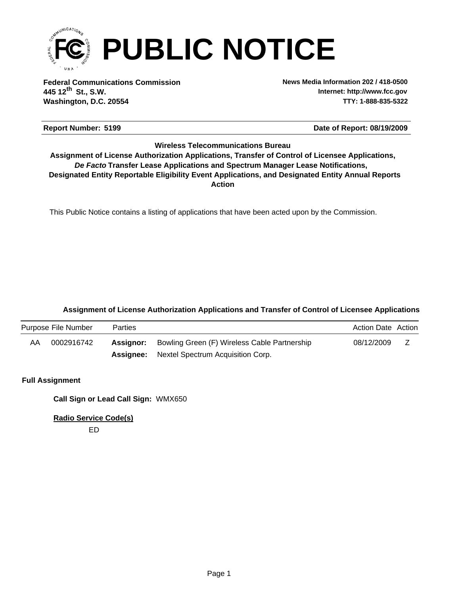

**Federal Communications Commission News Media Information 202 / 418-0500 Washington, D.C. 20554 TTY: 1-888-835-5322 445 12 St., S.W. th**

**Internet: http://www.fcc.gov**

#### **Report Number: 5199 5199 5199 5199 5199 5199 5199 5199 5199 5199 5199 5199 5199 5199 5199 5199 5199 5199 5199 5199 5199 5199 5199 5199 5199 5199 5199 5199 5199 519**

### **Wireless Telecommunications Bureau**

**Action** *De Facto* **Transfer Lease Applications and Spectrum Manager Lease Notifications, Designated Entity Reportable Eligibility Event Applications, and Designated Entity Annual Reports Assignment of License Authorization Applications, Transfer of Control of Licensee Applications,**

This Public Notice contains a listing of applications that have been acted upon by the Commission.

#### **Assignment of License Authorization Applications and Transfer of Control of Licensee Applications**

|    | Purpose File Number | Parties   |                                                    | <b>Action Date Action</b> |  |
|----|---------------------|-----------|----------------------------------------------------|---------------------------|--|
| AA | 0002916742          | Assignor: | Bowling Green (F) Wireless Cable Partnership       | 08/12/2009                |  |
|    |                     |           | <b>Assignee:</b> Nextel Spectrum Acquisition Corp. |                           |  |

#### **Full Assignment**

**Call Sign or Lead Call Sign:** WMX650

**Radio Service Code(s)**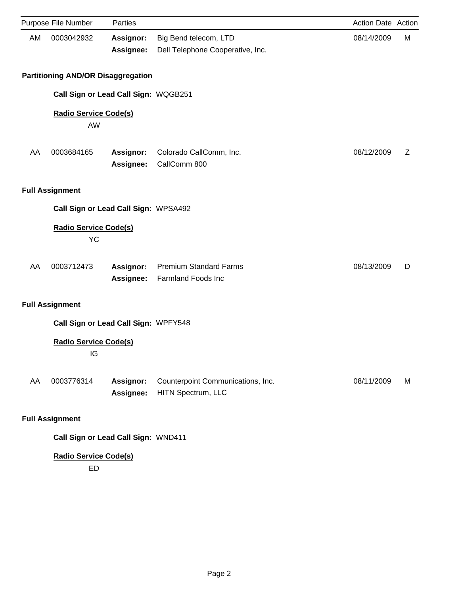|    | Purpose File Number                       | Parties                       |                                                            | Action Date Action |   |
|----|-------------------------------------------|-------------------------------|------------------------------------------------------------|--------------------|---|
| AM | 0003042932                                | Assignor:<br>Assignee:        | Big Bend telecom, LTD<br>Dell Telephone Cooperative, Inc.  | 08/14/2009         | M |
|    | <b>Partitioning AND/OR Disaggregation</b> |                               |                                                            |                    |   |
|    | Call Sign or Lead Call Sign: WQGB251      |                               |                                                            |                    |   |
|    | <b>Radio Service Code(s)</b><br>AW        |                               |                                                            |                    |   |
| AA | 0003684165                                | Assignor:<br>Assignee:        | Colorado CallComm, Inc.<br>CallComm 800                    | 08/12/2009         | Z |
|    | <b>Full Assignment</b>                    |                               |                                                            |                    |   |
|    | Call Sign or Lead Call Sign: WPSA492      |                               |                                                            |                    |   |
|    | <b>Radio Service Code(s)</b><br><b>YC</b> |                               |                                                            |                    |   |
| AA | 0003712473                                | Assignor:<br>Assignee:        | <b>Premium Standard Farms</b><br><b>Farmland Foods Inc</b> | 08/13/2009         | D |
|    | <b>Full Assignment</b>                    |                               |                                                            |                    |   |
|    | Call Sign or Lead Call Sign: WPFY548      |                               |                                                            |                    |   |
|    | <b>Radio Service Code(s)</b><br>IG        |                               |                                                            |                    |   |
| AA | 0003776314                                | <b>Assignor:</b><br>Assignee: | Counterpoint Communications, Inc.<br>HITN Spectrum, LLC    | 08/11/2009         | M |
|    | <b>Full Assignment</b>                    |                               |                                                            |                    |   |

**Call Sign or Lead Call Sign:** WND411

## **Radio Service Code(s)**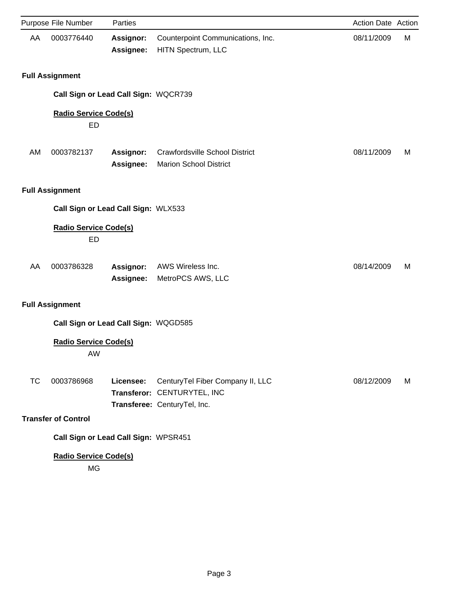|    | Purpose File Number                       | Parties                |                                                                                                 | Action Date Action |   |
|----|-------------------------------------------|------------------------|-------------------------------------------------------------------------------------------------|--------------------|---|
| AA | 0003776440                                | Assignor:<br>Assignee: | Counterpoint Communications, Inc.<br>HITN Spectrum, LLC                                         | 08/11/2009         | М |
|    | <b>Full Assignment</b>                    |                        |                                                                                                 |                    |   |
|    | Call Sign or Lead Call Sign: WQCR739      |                        |                                                                                                 |                    |   |
|    | <b>Radio Service Code(s)</b><br>ED        |                        |                                                                                                 |                    |   |
| AM | 0003782137                                | Assignor:<br>Assignee: | <b>Crawfordsville School District</b><br><b>Marion School District</b>                          | 08/11/2009         | M |
|    | <b>Full Assignment</b>                    |                        |                                                                                                 |                    |   |
|    | Call Sign or Lead Call Sign: WLX533       |                        |                                                                                                 |                    |   |
|    | <b>Radio Service Code(s)</b><br><b>ED</b> |                        |                                                                                                 |                    |   |
| AA | 0003786328                                | Assignor:<br>Assignee: | AWS Wireless Inc.<br>MetroPCS AWS, LLC                                                          | 08/14/2009         | M |
|    | <b>Full Assignment</b>                    |                        |                                                                                                 |                    |   |
|    | Call Sign or Lead Call Sign: WQGD585      |                        |                                                                                                 |                    |   |
|    | <b>Radio Service Code(s)</b><br>AW        |                        |                                                                                                 |                    |   |
| TC | 0003786968                                | Licensee:              | CenturyTel Fiber Company II, LLC<br>Transferor: CENTURYTEL, INC<br>Transferee: CenturyTel, Inc. | 08/12/2009         | M |
|    | <b>Transfer of Control</b>                |                        |                                                                                                 |                    |   |
|    | Call Sign or Lead Call Sign: WPSR451      |                        |                                                                                                 |                    |   |
|    |                                           |                        |                                                                                                 |                    |   |

MG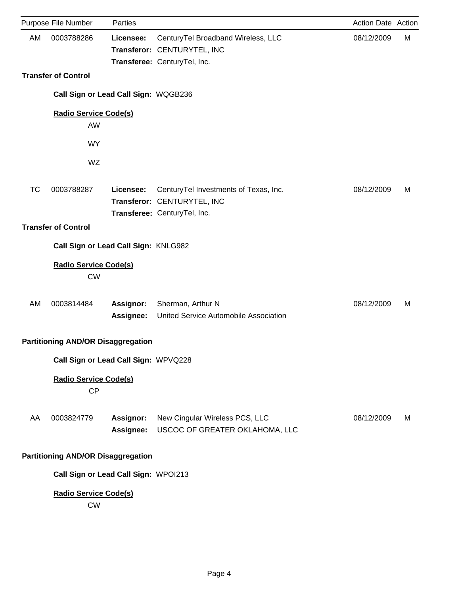|           | Purpose File Number                       | Parties                |                                                                                                      | Action Date Action |   |
|-----------|-------------------------------------------|------------------------|------------------------------------------------------------------------------------------------------|--------------------|---|
| AM        | 0003788286                                | Licensee:              | CenturyTel Broadband Wireless, LLC<br>Transferor: CENTURYTEL, INC<br>Transferee: CenturyTel, Inc.    | 08/12/2009         | M |
|           | <b>Transfer of Control</b>                |                        |                                                                                                      |                    |   |
|           | Call Sign or Lead Call Sign: WQGB236      |                        |                                                                                                      |                    |   |
|           | <b>Radio Service Code(s)</b>              |                        |                                                                                                      |                    |   |
|           | AW                                        |                        |                                                                                                      |                    |   |
|           | <b>WY</b>                                 |                        |                                                                                                      |                    |   |
|           | WZ                                        |                        |                                                                                                      |                    |   |
| <b>TC</b> | 0003788287                                | Licensee:              | CenturyTel Investments of Texas, Inc.<br>Transferor: CENTURYTEL, INC<br>Transferee: CenturyTel, Inc. | 08/12/2009         | M |
|           | <b>Transfer of Control</b>                |                        |                                                                                                      |                    |   |
|           | Call Sign or Lead Call Sign: KNLG982      |                        |                                                                                                      |                    |   |
|           | <b>Radio Service Code(s)</b><br><b>CW</b> |                        |                                                                                                      |                    |   |
| AM        | 0003814484                                | Assignor:<br>Assignee: | Sherman, Arthur N<br>United Service Automobile Association                                           | 08/12/2009         | M |
|           | <b>Partitioning AND/OR Disaggregation</b> |                        |                                                                                                      |                    |   |
|           | Call Sign or Lead Call Sign: WPVQ228      |                        |                                                                                                      |                    |   |
|           | <b>Radio Service Code(s)</b><br>CP        |                        |                                                                                                      |                    |   |
| AA        | 0003824779                                | Assignor:<br>Assignee: | New Cingular Wireless PCS, LLC<br>USCOC OF GREATER OKLAHOMA, LLC                                     | 08/12/2009         | М |
|           | <b>Partitioning AND/OR Disaggregation</b> |                        |                                                                                                      |                    |   |
|           | Call Sign or Lead Call Sign: WPOI213      |                        |                                                                                                      |                    |   |
|           | <b>Radio Service Code(s)</b><br><b>CW</b> |                        |                                                                                                      |                    |   |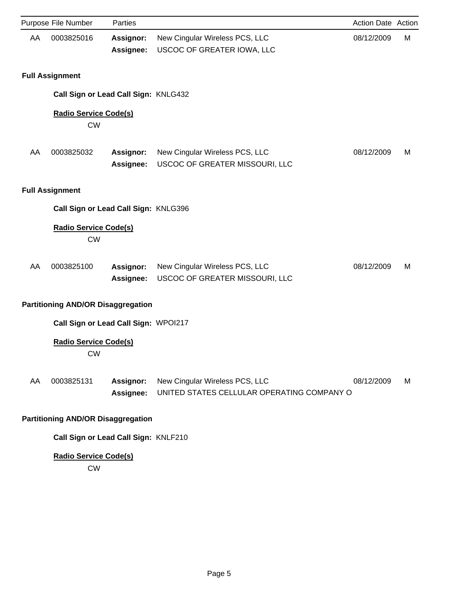|    | Purpose File Number                       | Parties                       |                                                                              | Action Date Action |   |
|----|-------------------------------------------|-------------------------------|------------------------------------------------------------------------------|--------------------|---|
| AA | 0003825016                                | Assignor:<br>Assignee:        | New Cingular Wireless PCS, LLC<br>USCOC OF GREATER IOWA, LLC                 | 08/12/2009         | M |
|    | <b>Full Assignment</b>                    |                               |                                                                              |                    |   |
|    | Call Sign or Lead Call Sign: KNLG432      |                               |                                                                              |                    |   |
|    | <b>Radio Service Code(s)</b><br><b>CW</b> |                               |                                                                              |                    |   |
| AA | 0003825032                                | Assignor:<br>Assignee:        | New Cingular Wireless PCS, LLC<br>USCOC OF GREATER MISSOURI, LLC             | 08/12/2009         | M |
|    | <b>Full Assignment</b>                    |                               |                                                                              |                    |   |
|    | Call Sign or Lead Call Sign: KNLG396      |                               |                                                                              |                    |   |
|    | <b>Radio Service Code(s)</b><br><b>CW</b> |                               |                                                                              |                    |   |
| AA | 0003825100                                | Assignor:<br>Assignee:        | New Cingular Wireless PCS, LLC<br>USCOC OF GREATER MISSOURI, LLC             | 08/12/2009         | M |
|    | <b>Partitioning AND/OR Disaggregation</b> |                               |                                                                              |                    |   |
|    | Call Sign or Lead Call Sign: WPOI217      |                               |                                                                              |                    |   |
|    | <b>Radio Service Code(s)</b><br>CW        |                               |                                                                              |                    |   |
| AA | 0003825131                                | Assignor:<br><b>Assignee:</b> | New Cingular Wireless PCS, LLC<br>UNITED STATES CELLULAR OPERATING COMPANY O | 08/12/2009         | М |
|    | <b>Partitioning AND/OR Disaggregation</b> |                               |                                                                              |                    |   |
|    | Call Sign or Lead Call Sign: KNLF210      |                               |                                                                              |                    |   |

CW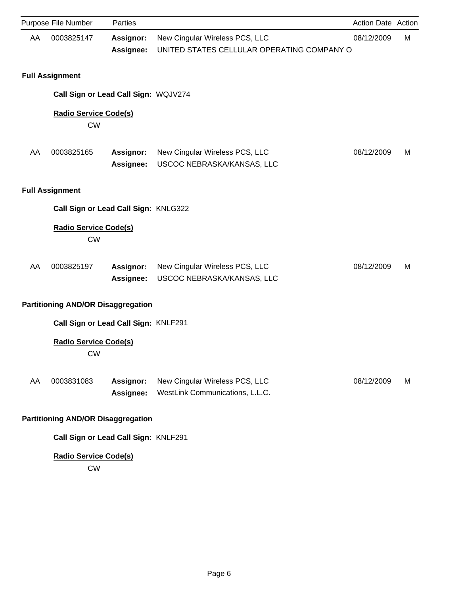|    | Purpose File Number                       | Parties                       |                                                                              | Action Date Action |   |
|----|-------------------------------------------|-------------------------------|------------------------------------------------------------------------------|--------------------|---|
| AA | 0003825147                                | <b>Assignor:</b><br>Assignee: | New Cingular Wireless PCS, LLC<br>UNITED STATES CELLULAR OPERATING COMPANY O | 08/12/2009         | M |
|    | <b>Full Assignment</b>                    |                               |                                                                              |                    |   |
|    | Call Sign or Lead Call Sign: WQJV274      |                               |                                                                              |                    |   |
|    | <b>Radio Service Code(s)</b><br><b>CW</b> |                               |                                                                              |                    |   |
| AA | 0003825165                                | Assignor:<br>Assignee:        | New Cingular Wireless PCS, LLC<br>USCOC NEBRASKA/KANSAS, LLC                 | 08/12/2009         | M |
|    | <b>Full Assignment</b>                    |                               |                                                                              |                    |   |
|    | Call Sign or Lead Call Sign: KNLG322      |                               |                                                                              |                    |   |
|    | <b>Radio Service Code(s)</b><br><b>CW</b> |                               |                                                                              |                    |   |
| AA | 0003825197                                | Assignor:<br>Assignee:        | New Cingular Wireless PCS, LLC<br>USCOC NEBRASKA/KANSAS, LLC                 | 08/12/2009         | M |
|    | <b>Partitioning AND/OR Disaggregation</b> |                               |                                                                              |                    |   |
|    | Call Sign or Lead Call Sign: KNLF291      |                               |                                                                              |                    |   |
|    | <b>Radio Service Code(s)</b><br><b>CW</b> |                               |                                                                              |                    |   |
| AA | 0003831083                                | Assignor:<br>Assignee:        | New Cingular Wireless PCS, LLC<br>WestLink Communications, L.L.C.            | 08/12/2009         | M |
|    | <b>Partitioning AND/OR Disaggregation</b> |                               |                                                                              |                    |   |
|    | Call Sign or Lead Call Sign: KNLF291      |                               |                                                                              |                    |   |

CW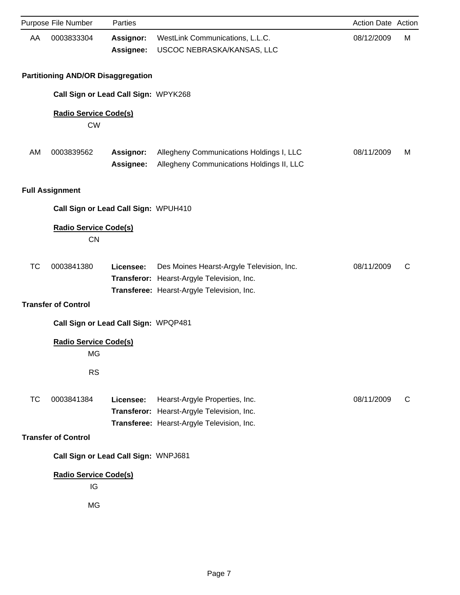|           | Purpose File Number                             | Parties                              |                                                                                                                                       | Action Date Action |   |
|-----------|-------------------------------------------------|--------------------------------------|---------------------------------------------------------------------------------------------------------------------------------------|--------------------|---|
| AA        | 0003833304                                      | Assignor:<br>Assignee:               | WestLink Communications, L.L.C.<br>USCOC NEBRASKA/KANSAS, LLC                                                                         | 08/12/2009         | M |
|           | <b>Partitioning AND/OR Disaggregation</b>       |                                      |                                                                                                                                       |                    |   |
|           |                                                 | Call Sign or Lead Call Sign: WPYK268 |                                                                                                                                       |                    |   |
|           | <b>Radio Service Code(s)</b><br><b>CW</b>       |                                      |                                                                                                                                       |                    |   |
| AM        | 0003839562                                      | <b>Assignor:</b><br>Assignee:        | Allegheny Communications Holdings I, LLC<br>Allegheny Communications Holdings II, LLC                                                 | 08/11/2009         | M |
|           | <b>Full Assignment</b>                          |                                      |                                                                                                                                       |                    |   |
|           |                                                 | Call Sign or Lead Call Sign: WPUH410 |                                                                                                                                       |                    |   |
|           | <b>Radio Service Code(s)</b><br><b>CN</b>       |                                      |                                                                                                                                       |                    |   |
| <b>TC</b> | 0003841380<br><b>Transfer of Control</b>        | Licensee:                            | Des Moines Hearst-Argyle Television, Inc.<br>Transferor: Hearst-Argyle Television, Inc.<br>Transferee: Hearst-Argyle Television, Inc. | 08/11/2009         | C |
|           |                                                 | Call Sign or Lead Call Sign: WPQP481 |                                                                                                                                       |                    |   |
|           | <b>Radio Service Code(s)</b><br>MG<br><b>RS</b> |                                      |                                                                                                                                       |                    |   |
| <b>TC</b> | 0003841384                                      | Licensee:                            | Hearst-Argyle Properties, Inc.<br>Transferor: Hearst-Argyle Television, Inc.<br>Transferee: Hearst-Argyle Television, Inc.            | 08/11/2009         | C |
|           | <b>Transfer of Control</b>                      |                                      |                                                                                                                                       |                    |   |
|           |                                                 | Call Sign or Lead Call Sign: WNPJ681 |                                                                                                                                       |                    |   |
|           | <b>Radio Service Code(s)</b><br>IG<br>MG        |                                      |                                                                                                                                       |                    |   |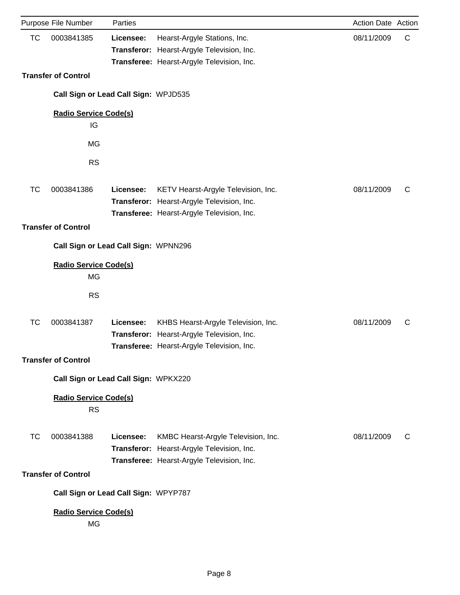|           | Purpose File Number                       | Parties   |                                                                                                                                 | Action Date Action |   |
|-----------|-------------------------------------------|-----------|---------------------------------------------------------------------------------------------------------------------------------|--------------------|---|
| <b>TC</b> | 0003841385                                | Licensee: | Hearst-Argyle Stations, Inc.<br>Transferor: Hearst-Argyle Television, Inc.<br>Transferee: Hearst-Argyle Television, Inc.        | 08/11/2009         | C |
|           | <b>Transfer of Control</b>                |           |                                                                                                                                 |                    |   |
|           | Call Sign or Lead Call Sign: WPJD535      |           |                                                                                                                                 |                    |   |
|           | <b>Radio Service Code(s)</b><br>IG        |           |                                                                                                                                 |                    |   |
|           | <b>MG</b>                                 |           |                                                                                                                                 |                    |   |
|           | <b>RS</b>                                 |           |                                                                                                                                 |                    |   |
| <b>TC</b> | 0003841386                                | Licensee: | KETV Hearst-Argyle Television, Inc.<br>Transferor: Hearst-Argyle Television, Inc.<br>Transferee: Hearst-Argyle Television, Inc. | 08/11/2009         | C |
|           | <b>Transfer of Control</b>                |           |                                                                                                                                 |                    |   |
|           | Call Sign or Lead Call Sign: WPNN296      |           |                                                                                                                                 |                    |   |
|           | <b>Radio Service Code(s)</b><br><b>MG</b> |           |                                                                                                                                 |                    |   |
|           | <b>RS</b>                                 |           |                                                                                                                                 |                    |   |
| TC        | 0003841387                                | Licensee: | KHBS Hearst-Argyle Television, Inc.<br>Transferor: Hearst-Argyle Television, Inc.<br>Transferee: Hearst-Argyle Television, Inc. | 08/11/2009         | C |
|           | <b>Transfer of Control</b>                |           |                                                                                                                                 |                    |   |
|           | Call Sign or Lead Call Sign: WPKX220      |           |                                                                                                                                 |                    |   |
|           | <b>Radio Service Code(s)</b><br><b>RS</b> |           |                                                                                                                                 |                    |   |
| ТC        | 0003841388<br><b>Transfer of Control</b>  | Licensee: | KMBC Hearst-Argyle Television, Inc.<br>Transferor: Hearst-Argyle Television, Inc.<br>Transferee: Hearst-Argyle Television, Inc. | 08/11/2009         | C |
|           | Call Sign or Lead Call Sign: WPYP787      |           |                                                                                                                                 |                    |   |
|           | <b>Radio Service Code(s)</b><br><b>MG</b> |           |                                                                                                                                 |                    |   |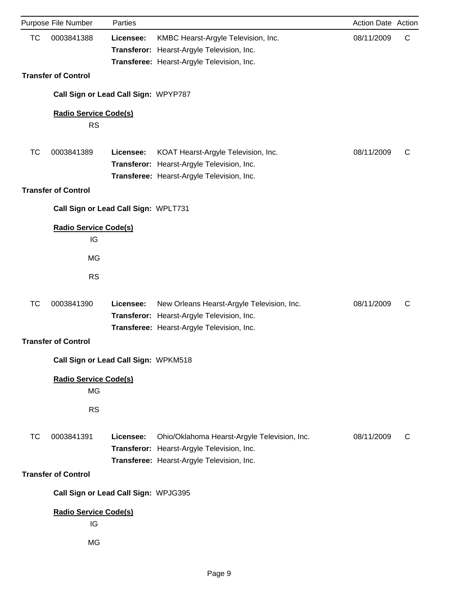| <b>TC</b><br>0003841388<br>08/11/2009<br>C<br>KMBC Hearst-Argyle Television, Inc.<br>Licensee:<br>Transferor: Hearst-Argyle Television, Inc.<br>Transferee: Hearst-Argyle Television, Inc.<br><b>Transfer of Control</b><br>Call Sign or Lead Call Sign: WPYP787<br><b>Radio Service Code(s)</b><br><b>RS</b><br>0003841389<br>08/11/2009<br>ТC<br>Licensee:<br>KOAT Hearst-Argyle Television, Inc.<br>C<br>Transferor: Hearst-Argyle Television, Inc.<br>Transferee: Hearst-Argyle Television, Inc.<br><b>Transfer of Control</b><br>Call Sign or Lead Call Sign: WPLT731<br><b>Radio Service Code(s)</b><br>IG<br><b>MG</b><br><b>RS</b><br><b>TC</b><br>0003841390<br>08/11/2009<br>New Orleans Hearst-Argyle Television, Inc.<br>C<br>Licensee:<br>Transferor: Hearst-Argyle Television, Inc.<br>Transferee: Hearst-Argyle Television, Inc.<br><b>Transfer of Control</b><br>Call Sign or Lead Call Sign: WPKM518<br><b>Radio Service Code(s)</b><br>MG<br><b>RS</b><br><b>TC</b><br>0003841391<br>08/11/2009<br>Licensee:<br>Ohio/Oklahoma Hearst-Argyle Television, Inc.<br>С<br>Transferor: Hearst-Argyle Television, Inc.<br>Transferee: Hearst-Argyle Television, Inc.<br><b>Transfer of Control</b><br>Call Sign or Lead Call Sign: WPJG395 | Purpose File Number | Parties | Action Date Action |  |
|-------------------------------------------------------------------------------------------------------------------------------------------------------------------------------------------------------------------------------------------------------------------------------------------------------------------------------------------------------------------------------------------------------------------------------------------------------------------------------------------------------------------------------------------------------------------------------------------------------------------------------------------------------------------------------------------------------------------------------------------------------------------------------------------------------------------------------------------------------------------------------------------------------------------------------------------------------------------------------------------------------------------------------------------------------------------------------------------------------------------------------------------------------------------------------------------------------------------------------------------------------|---------------------|---------|--------------------|--|
|                                                                                                                                                                                                                                                                                                                                                                                                                                                                                                                                                                                                                                                                                                                                                                                                                                                                                                                                                                                                                                                                                                                                                                                                                                                       |                     |         |                    |  |
|                                                                                                                                                                                                                                                                                                                                                                                                                                                                                                                                                                                                                                                                                                                                                                                                                                                                                                                                                                                                                                                                                                                                                                                                                                                       |                     |         |                    |  |
|                                                                                                                                                                                                                                                                                                                                                                                                                                                                                                                                                                                                                                                                                                                                                                                                                                                                                                                                                                                                                                                                                                                                                                                                                                                       |                     |         |                    |  |
|                                                                                                                                                                                                                                                                                                                                                                                                                                                                                                                                                                                                                                                                                                                                                                                                                                                                                                                                                                                                                                                                                                                                                                                                                                                       |                     |         |                    |  |
|                                                                                                                                                                                                                                                                                                                                                                                                                                                                                                                                                                                                                                                                                                                                                                                                                                                                                                                                                                                                                                                                                                                                                                                                                                                       |                     |         |                    |  |
|                                                                                                                                                                                                                                                                                                                                                                                                                                                                                                                                                                                                                                                                                                                                                                                                                                                                                                                                                                                                                                                                                                                                                                                                                                                       |                     |         |                    |  |
|                                                                                                                                                                                                                                                                                                                                                                                                                                                                                                                                                                                                                                                                                                                                                                                                                                                                                                                                                                                                                                                                                                                                                                                                                                                       |                     |         |                    |  |
|                                                                                                                                                                                                                                                                                                                                                                                                                                                                                                                                                                                                                                                                                                                                                                                                                                                                                                                                                                                                                                                                                                                                                                                                                                                       |                     |         |                    |  |
|                                                                                                                                                                                                                                                                                                                                                                                                                                                                                                                                                                                                                                                                                                                                                                                                                                                                                                                                                                                                                                                                                                                                                                                                                                                       |                     |         |                    |  |
|                                                                                                                                                                                                                                                                                                                                                                                                                                                                                                                                                                                                                                                                                                                                                                                                                                                                                                                                                                                                                                                                                                                                                                                                                                                       |                     |         |                    |  |
|                                                                                                                                                                                                                                                                                                                                                                                                                                                                                                                                                                                                                                                                                                                                                                                                                                                                                                                                                                                                                                                                                                                                                                                                                                                       |                     |         |                    |  |
|                                                                                                                                                                                                                                                                                                                                                                                                                                                                                                                                                                                                                                                                                                                                                                                                                                                                                                                                                                                                                                                                                                                                                                                                                                                       |                     |         |                    |  |
|                                                                                                                                                                                                                                                                                                                                                                                                                                                                                                                                                                                                                                                                                                                                                                                                                                                                                                                                                                                                                                                                                                                                                                                                                                                       |                     |         |                    |  |
|                                                                                                                                                                                                                                                                                                                                                                                                                                                                                                                                                                                                                                                                                                                                                                                                                                                                                                                                                                                                                                                                                                                                                                                                                                                       |                     |         |                    |  |
|                                                                                                                                                                                                                                                                                                                                                                                                                                                                                                                                                                                                                                                                                                                                                                                                                                                                                                                                                                                                                                                                                                                                                                                                                                                       |                     |         |                    |  |
|                                                                                                                                                                                                                                                                                                                                                                                                                                                                                                                                                                                                                                                                                                                                                                                                                                                                                                                                                                                                                                                                                                                                                                                                                                                       |                     |         |                    |  |
|                                                                                                                                                                                                                                                                                                                                                                                                                                                                                                                                                                                                                                                                                                                                                                                                                                                                                                                                                                                                                                                                                                                                                                                                                                                       |                     |         |                    |  |
|                                                                                                                                                                                                                                                                                                                                                                                                                                                                                                                                                                                                                                                                                                                                                                                                                                                                                                                                                                                                                                                                                                                                                                                                                                                       |                     |         |                    |  |
| <b>Radio Service Code(s)</b><br>IG                                                                                                                                                                                                                                                                                                                                                                                                                                                                                                                                                                                                                                                                                                                                                                                                                                                                                                                                                                                                                                                                                                                                                                                                                    |                     |         |                    |  |
| MG                                                                                                                                                                                                                                                                                                                                                                                                                                                                                                                                                                                                                                                                                                                                                                                                                                                                                                                                                                                                                                                                                                                                                                                                                                                    |                     |         |                    |  |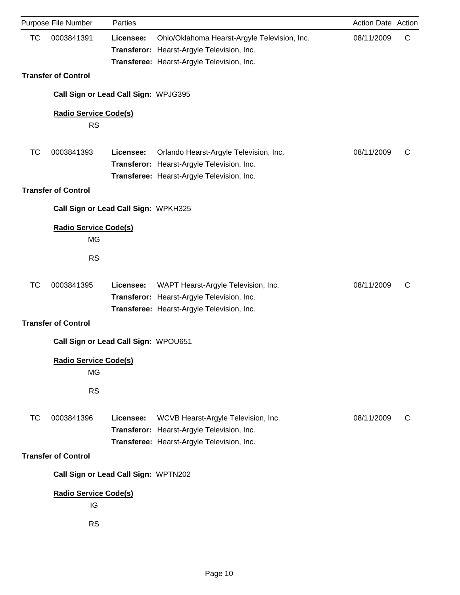|           | Purpose File Number                             | Parties   |                                                                                                                                          | Action Date Action |   |
|-----------|-------------------------------------------------|-----------|------------------------------------------------------------------------------------------------------------------------------------------|--------------------|---|
| <b>TC</b> | 0003841391                                      | Licensee: | Ohio/Oklahoma Hearst-Argyle Television, Inc.<br>Transferor: Hearst-Argyle Television, Inc.<br>Transferee: Hearst-Argyle Television, Inc. | 08/11/2009         | C |
|           | <b>Transfer of Control</b>                      |           |                                                                                                                                          |                    |   |
|           | Call Sign or Lead Call Sign: WPJG395            |           |                                                                                                                                          |                    |   |
|           | <b>Radio Service Code(s)</b><br><b>RS</b>       |           |                                                                                                                                          |                    |   |
| <b>TC</b> | 0003841393                                      | Licensee: | Orlando Hearst-Argyle Television, Inc.<br>Transferor: Hearst-Argyle Television, Inc.<br>Transferee: Hearst-Argyle Television, Inc.       | 08/11/2009         | C |
|           | <b>Transfer of Control</b>                      |           |                                                                                                                                          |                    |   |
|           | Call Sign or Lead Call Sign: WPKH325            |           |                                                                                                                                          |                    |   |
|           | <b>Radio Service Code(s)</b><br><b>MG</b>       |           |                                                                                                                                          |                    |   |
|           | <b>RS</b>                                       |           |                                                                                                                                          |                    |   |
| <b>TC</b> | 0003841395<br><b>Transfer of Control</b>        | Licensee: | WAPT Hearst-Argyle Television, Inc.<br>Transferor: Hearst-Argyle Television, Inc.<br>Transferee: Hearst-Argyle Television, Inc.          | 08/11/2009         | C |
|           | Call Sign or Lead Call Sign: WPOU651            |           |                                                                                                                                          |                    |   |
|           | <b>Radio Service Code(s)</b><br>MG<br><b>RS</b> |           |                                                                                                                                          |                    |   |
| ТC        | 0003841396                                      | Licensee: | WCVB Hearst-Argyle Television, Inc.<br>Transferor: Hearst-Argyle Television, Inc.<br>Transferee: Hearst-Argyle Television, Inc.          | 08/11/2009         | C |
|           | <b>Transfer of Control</b>                      |           |                                                                                                                                          |                    |   |
|           | Call Sign or Lead Call Sign: WPTN202            |           |                                                                                                                                          |                    |   |
|           | <b>Radio Service Code(s)</b><br>IG              |           |                                                                                                                                          |                    |   |
|           | <b>RS</b>                                       |           |                                                                                                                                          |                    |   |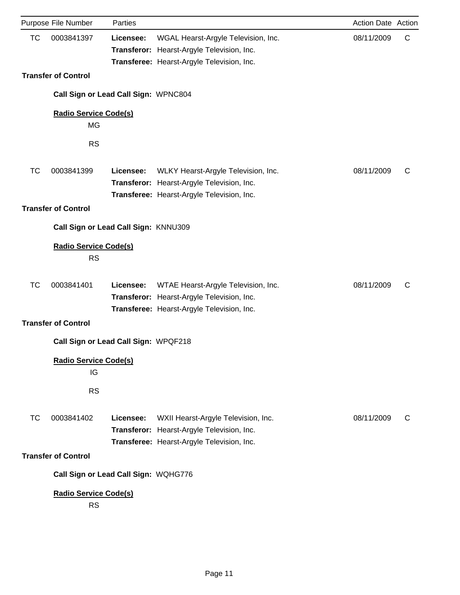|           | Purpose File Number                       | Parties   |                                                                                                                                 | Action Date Action |   |
|-----------|-------------------------------------------|-----------|---------------------------------------------------------------------------------------------------------------------------------|--------------------|---|
| <b>TC</b> | 0003841397                                | Licensee: | WGAL Hearst-Argyle Television, Inc.<br>Transferor: Hearst-Argyle Television, Inc.<br>Transferee: Hearst-Argyle Television, Inc. | 08/11/2009         | C |
|           | <b>Transfer of Control</b>                |           |                                                                                                                                 |                    |   |
|           | Call Sign or Lead Call Sign: WPNC804      |           |                                                                                                                                 |                    |   |
|           | <b>Radio Service Code(s)</b><br>MG        |           |                                                                                                                                 |                    |   |
|           | <b>RS</b>                                 |           |                                                                                                                                 |                    |   |
| ТC        | 0003841399                                | Licensee: | WLKY Hearst-Argyle Television, Inc.<br>Transferor: Hearst-Argyle Television, Inc.<br>Transferee: Hearst-Argyle Television, Inc. | 08/11/2009         | C |
|           | <b>Transfer of Control</b>                |           |                                                                                                                                 |                    |   |
|           | Call Sign or Lead Call Sign: KNNU309      |           |                                                                                                                                 |                    |   |
|           | <b>Radio Service Code(s)</b><br><b>RS</b> |           |                                                                                                                                 |                    |   |
| <b>TC</b> | 0003841401                                | Licensee: | WTAE Hearst-Argyle Television, Inc.<br>Transferor: Hearst-Argyle Television, Inc.<br>Transferee: Hearst-Argyle Television, Inc. | 08/11/2009         | C |
|           | <b>Transfer of Control</b>                |           |                                                                                                                                 |                    |   |
|           | Call Sign or Lead Call Sign: WPQF218      |           |                                                                                                                                 |                    |   |
|           | <b>Radio Service Code(s)</b><br>IG        |           |                                                                                                                                 |                    |   |
|           | <b>RS</b>                                 |           |                                                                                                                                 |                    |   |
| ТC        | 0003841402                                | Licensee: | WXII Hearst-Argyle Television, Inc.<br>Transferor: Hearst-Argyle Television, Inc.<br>Transferee: Hearst-Argyle Television, Inc. | 08/11/2009         | С |
|           | <b>Transfer of Control</b>                |           |                                                                                                                                 |                    |   |
|           | Call Sign or Lead Call Sign: WQHG776      |           |                                                                                                                                 |                    |   |
|           | <b>Radio Service Code(s)</b><br><b>RS</b> |           |                                                                                                                                 |                    |   |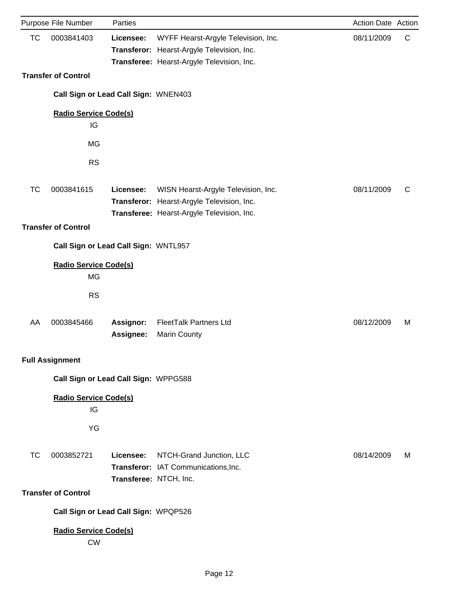|           | Purpose File Number                       | Parties                             |                                                                                                                                 | Action Date Action |   |
|-----------|-------------------------------------------|-------------------------------------|---------------------------------------------------------------------------------------------------------------------------------|--------------------|---|
| <b>TC</b> | 0003841403                                | Licensee:                           | WYFF Hearst-Argyle Television, Inc.<br>Transferor: Hearst-Argyle Television, Inc.<br>Transferee: Hearst-Argyle Television, Inc. | 08/11/2009         | C |
|           | <b>Transfer of Control</b>                |                                     |                                                                                                                                 |                    |   |
|           | Call Sign or Lead Call Sign: WNEN403      |                                     |                                                                                                                                 |                    |   |
|           | <b>Radio Service Code(s)</b><br>IG        |                                     |                                                                                                                                 |                    |   |
|           | MG                                        |                                     |                                                                                                                                 |                    |   |
|           | <b>RS</b>                                 |                                     |                                                                                                                                 |                    |   |
| <b>TC</b> | 0003841615                                | Licensee:                           | WISN Hearst-Argyle Television, Inc.<br>Transferor: Hearst-Argyle Television, Inc.<br>Transferee: Hearst-Argyle Television, Inc. | 08/11/2009         | C |
|           | <b>Transfer of Control</b>                |                                     |                                                                                                                                 |                    |   |
|           | Call Sign or Lead Call Sign: WNTL957      |                                     |                                                                                                                                 |                    |   |
|           | <b>Radio Service Code(s)</b><br><b>MG</b> |                                     |                                                                                                                                 |                    |   |
|           | <b>RS</b>                                 |                                     |                                                                                                                                 |                    |   |
| AA        | 0003845466                                | <b>Assignor:</b><br>Assignee:       | <b>FleetTalk Partners Ltd</b><br>Marin County                                                                                   | 08/12/2009         | M |
|           | <b>Full Assignment</b>                    |                                     |                                                                                                                                 |                    |   |
|           | Call Sign or Lead Call Sign: WPPG588      |                                     |                                                                                                                                 |                    |   |
|           | <b>Radio Service Code(s)</b><br>IG        |                                     |                                                                                                                                 |                    |   |
|           | YG                                        |                                     |                                                                                                                                 |                    |   |
| ТC        | 0003852721                                | Licensee:<br>Transferee: NTCH, Inc. | NTCH-Grand Junction, LLC<br>Transferor: IAT Communications, Inc.                                                                | 08/14/2009         | M |
|           | <b>Transfer of Control</b>                |                                     |                                                                                                                                 |                    |   |
|           | Call Sign or Lead Call Sign: WPQP526      |                                     |                                                                                                                                 |                    |   |
|           | <b>Radio Service Code(s)</b><br><b>CW</b> |                                     |                                                                                                                                 |                    |   |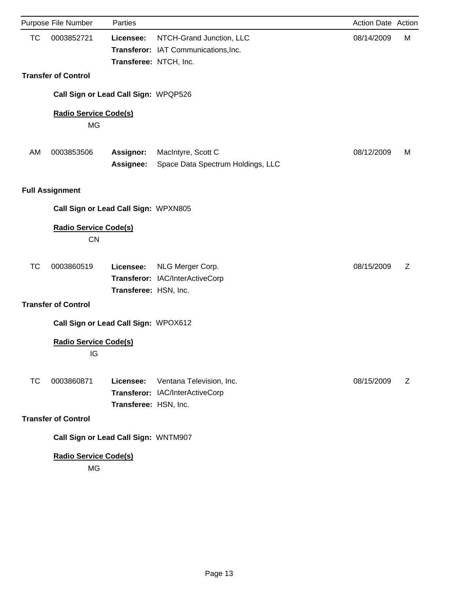|           | Purpose File Number                       | Parties                              |                                                                  | Action Date Action |   |
|-----------|-------------------------------------------|--------------------------------------|------------------------------------------------------------------|--------------------|---|
| <b>TC</b> | 0003852721                                | Licensee:<br>Transferee: NTCH, Inc.  | NTCH-Grand Junction, LLC<br>Transferor: IAT Communications, Inc. | 08/14/2009         | М |
|           | <b>Transfer of Control</b>                |                                      |                                                                  |                    |   |
|           |                                           | Call Sign or Lead Call Sign: WPQP526 |                                                                  |                    |   |
|           | <b>Radio Service Code(s)</b><br>MG        |                                      |                                                                  |                    |   |
| AM        | 0003853506                                | Assignor:<br>Assignee:               | MacIntyre, Scott C<br>Space Data Spectrum Holdings, LLC          | 08/12/2009         | M |
|           | <b>Full Assignment</b>                    |                                      |                                                                  |                    |   |
|           |                                           | Call Sign or Lead Call Sign: WPXN805 |                                                                  |                    |   |
|           | <b>Radio Service Code(s)</b><br><b>CN</b> |                                      |                                                                  |                    |   |
| TC        | 0003860519                                | Licensee:<br>Transferee: HSN, Inc.   | NLG Merger Corp.<br>Transferor: IAC/InterActiveCorp              | 08/15/2009         | Z |
|           | <b>Transfer of Control</b>                |                                      |                                                                  |                    |   |
|           |                                           | Call Sign or Lead Call Sign: WPOX612 |                                                                  |                    |   |
|           | <b>Radio Service Code(s)</b><br>IG        |                                      |                                                                  |                    |   |
| <b>TC</b> | 0003860871                                | Licensee:<br>Transferee: HSN, Inc.   | Ventana Television, Inc.<br>Transferor: IAC/InterActiveCorp      | 08/15/2009         | Z |
|           | <b>Transfer of Control</b>                |                                      |                                                                  |                    |   |
|           |                                           | Call Sign or Lead Call Sign: WNTM907 |                                                                  |                    |   |
|           | <b>Radio Service Code(s)</b><br>MG        |                                      |                                                                  |                    |   |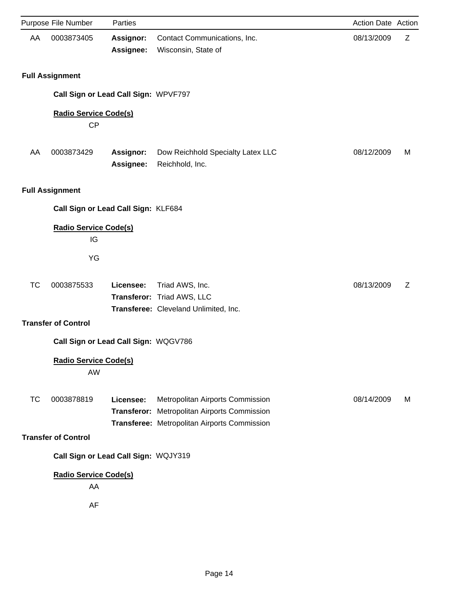|           | Purpose File Number                       | Parties                       |                                                                                                                                  | Action Date Action |   |
|-----------|-------------------------------------------|-------------------------------|----------------------------------------------------------------------------------------------------------------------------------|--------------------|---|
| AA        | 0003873405                                | <b>Assignor:</b><br>Assignee: | Contact Communications, Inc.<br>Wisconsin, State of                                                                              | 08/13/2009         | Z |
|           | <b>Full Assignment</b>                    |                               |                                                                                                                                  |                    |   |
|           | Call Sign or Lead Call Sign: WPVF797      |                               |                                                                                                                                  |                    |   |
|           | <b>Radio Service Code(s)</b><br><b>CP</b> |                               |                                                                                                                                  |                    |   |
| AA        | 0003873429                                | Assignor:<br>Assignee:        | Dow Reichhold Specialty Latex LLC<br>Reichhold, Inc.                                                                             | 08/12/2009         | M |
|           | <b>Full Assignment</b>                    |                               |                                                                                                                                  |                    |   |
|           | Call Sign or Lead Call Sign: KLF684       |                               |                                                                                                                                  |                    |   |
|           | <b>Radio Service Code(s)</b><br>IG        |                               |                                                                                                                                  |                    |   |
|           | YG                                        |                               |                                                                                                                                  |                    |   |
| <b>TC</b> | 0003875533                                | Licensee:                     | Triad AWS, Inc.<br>Transferor: Triad AWS, LLC<br>Transferee: Cleveland Unlimited, Inc.                                           | 08/13/2009         | Z |
|           | <b>Transfer of Control</b>                |                               |                                                                                                                                  |                    |   |
|           | Call Sign or Lead Call Sign: WQGV786      |                               |                                                                                                                                  |                    |   |
|           | <b>Radio Service Code(s)</b><br>AW        |                               |                                                                                                                                  |                    |   |
| <b>TC</b> | 0003878819                                | Licensee:                     | Metropolitan Airports Commission<br>Transferor: Metropolitan Airports Commission<br>Transferee: Metropolitan Airports Commission | 08/14/2009         | M |
|           | <b>Transfer of Control</b>                |                               |                                                                                                                                  |                    |   |
|           | Call Sign or Lead Call Sign: WQJY319      |                               |                                                                                                                                  |                    |   |
|           | <b>Radio Service Code(s)</b><br>AA<br>AF  |                               |                                                                                                                                  |                    |   |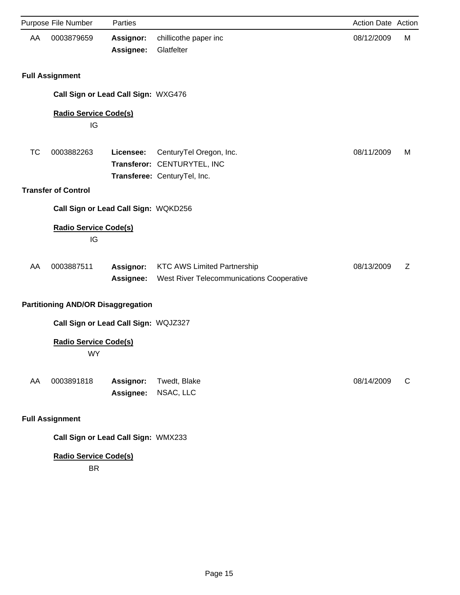|    | Purpose File Number                       | Parties                       |                                                                                        | <b>Action Date Action</b> |   |
|----|-------------------------------------------|-------------------------------|----------------------------------------------------------------------------------------|---------------------------|---|
| AA | 0003879659                                | <b>Assignor:</b><br>Assignee: | chillicothe paper inc<br>Glatfelter                                                    | 08/12/2009                | М |
|    | <b>Full Assignment</b>                    |                               |                                                                                        |                           |   |
|    | Call Sign or Lead Call Sign: WXG476       |                               |                                                                                        |                           |   |
|    | <b>Radio Service Code(s)</b><br>IG        |                               |                                                                                        |                           |   |
| TC | 0003882263                                | Licensee:                     | CenturyTel Oregon, Inc.<br>Transferor: CENTURYTEL, INC<br>Transferee: CenturyTel, Inc. | 08/11/2009                | M |
|    | <b>Transfer of Control</b>                |                               |                                                                                        |                           |   |
|    | Call Sign or Lead Call Sign: WQKD256      |                               |                                                                                        |                           |   |
|    | <b>Radio Service Code(s)</b><br>IG        |                               |                                                                                        |                           |   |
| AA | 0003887511                                | Assignor:<br><b>Assignee:</b> | <b>KTC AWS Limited Partnership</b><br>West River Telecommunications Cooperative        | 08/13/2009                | Z |
|    | <b>Partitioning AND/OR Disaggregation</b> |                               |                                                                                        |                           |   |
|    | Call Sign or Lead Call Sign: WQJZ327      |                               |                                                                                        |                           |   |
|    | <b>Radio Service Code(s)</b><br><b>WY</b> |                               |                                                                                        |                           |   |
| AA | 0003891818                                | Assignor:<br>Assignee:        | Twedt, Blake<br>NSAC, LLC                                                              | 08/14/2009                | C |
|    | <b>Full Assignment</b>                    |                               |                                                                                        |                           |   |
|    | Call Sign or Lead Call Sign: WMX233       |                               |                                                                                        |                           |   |

BR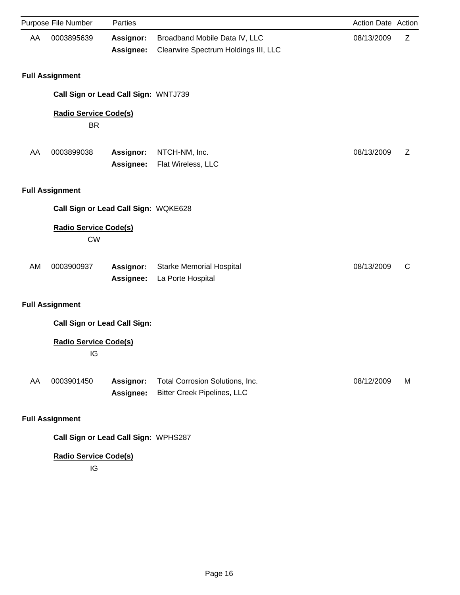|    | Purpose File Number                       | Parties                       |                                                                       | Action Date Action |   |
|----|-------------------------------------------|-------------------------------|-----------------------------------------------------------------------|--------------------|---|
| AA | 0003895639                                | <b>Assignor:</b><br>Assignee: | Broadband Mobile Data IV, LLC<br>Clearwire Spectrum Holdings III, LLC | 08/13/2009         | Z |
|    | <b>Full Assignment</b>                    |                               |                                                                       |                    |   |
|    | Call Sign or Lead Call Sign: WNTJ739      |                               |                                                                       |                    |   |
|    | <b>Radio Service Code(s)</b><br><b>BR</b> |                               |                                                                       |                    |   |
| AA | 0003899038                                | Assignor:<br>Assignee:        | NTCH-NM, Inc.<br>Flat Wireless, LLC                                   | 08/13/2009         | Ζ |
|    | <b>Full Assignment</b>                    |                               |                                                                       |                    |   |
|    | Call Sign or Lead Call Sign: WQKE628      |                               |                                                                       |                    |   |
|    | <b>Radio Service Code(s)</b><br><b>CW</b> |                               |                                                                       |                    |   |
| AM | 0003900937                                | Assignor:<br>Assignee:        | <b>Starke Memorial Hospital</b><br>La Porte Hospital                  | 08/13/2009         | C |
|    | <b>Full Assignment</b>                    |                               |                                                                       |                    |   |
|    | <b>Call Sign or Lead Call Sign:</b>       |                               |                                                                       |                    |   |
|    | <b>Radio Service Code(s)</b><br>IG        |                               |                                                                       |                    |   |
| AA | 0003901450                                | Assignor:<br>Assignee:        | Total Corrosion Solutions, Inc.<br><b>Bitter Creek Pipelines, LLC</b> | 08/12/2009         | M |
|    | <b>Full Assignment</b>                    |                               |                                                                       |                    |   |
|    | Call Sign or Lead Call Sign: WPHS287      |                               |                                                                       |                    |   |

IG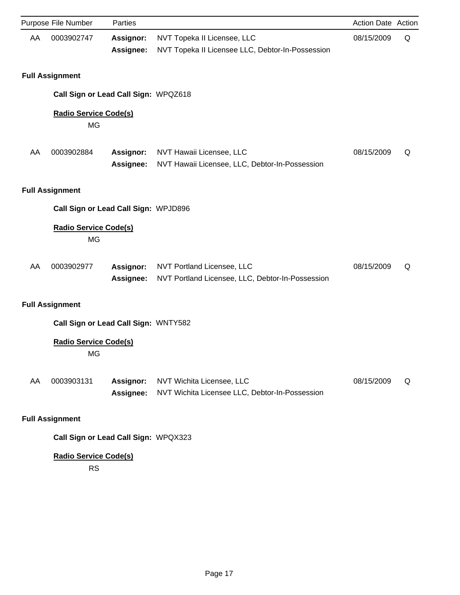|    | Purpose File Number                       | Parties                       |                                                                                 | Action Date Action |   |
|----|-------------------------------------------|-------------------------------|---------------------------------------------------------------------------------|--------------------|---|
| AA | 0003902747                                | Assignor:<br>Assignee:        | NVT Topeka II Licensee, LLC<br>NVT Topeka II Licensee LLC, Debtor-In-Possession | 08/15/2009         | Q |
|    | <b>Full Assignment</b>                    |                               |                                                                                 |                    |   |
|    | Call Sign or Lead Call Sign: WPQZ618      |                               |                                                                                 |                    |   |
|    | <b>Radio Service Code(s)</b><br><b>MG</b> |                               |                                                                                 |                    |   |
| AA | 0003902884                                | Assignor:<br>Assignee:        | NVT Hawaii Licensee, LLC<br>NVT Hawaii Licensee, LLC, Debtor-In-Possession      | 08/15/2009         | Q |
|    | <b>Full Assignment</b>                    |                               |                                                                                 |                    |   |
|    | Call Sign or Lead Call Sign: WPJD896      |                               |                                                                                 |                    |   |
|    | <b>Radio Service Code(s)</b><br><b>MG</b> |                               |                                                                                 |                    |   |
| AA | 0003902977                                | Assignor:<br>Assignee:        | NVT Portland Licensee, LLC<br>NVT Portland Licensee, LLC, Debtor-In-Possession  | 08/15/2009         | Q |
|    | <b>Full Assignment</b>                    |                               |                                                                                 |                    |   |
|    | Call Sign or Lead Call Sign: WNTY582      |                               |                                                                                 |                    |   |
|    | <b>Radio Service Code(s)</b><br>МĠ        |                               |                                                                                 |                    |   |
| AA | 0003903131                                | Assignor:<br><b>Assignee:</b> | NVT Wichita Licensee, LLC<br>NVT Wichita Licensee LLC, Debtor-In-Possession     | 08/15/2009         | Q |
|    | <b>Full Assignment</b>                    |                               |                                                                                 |                    |   |
|    | Call Sign or Lead Call Sign: WPQX323      |                               |                                                                                 |                    |   |

RS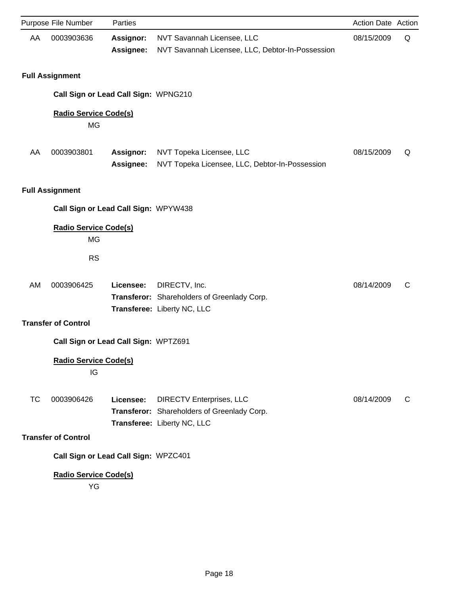|    | Purpose File Number                       | Parties                       |                                                                                                               | <b>Action Date Action</b> |   |
|----|-------------------------------------------|-------------------------------|---------------------------------------------------------------------------------------------------------------|---------------------------|---|
| AA | 0003903636                                | Assignor:<br>Assignee:        | NVT Savannah Licensee, LLC<br>NVT Savannah Licensee, LLC, Debtor-In-Possession                                | 08/15/2009                | Q |
|    | <b>Full Assignment</b>                    |                               |                                                                                                               |                           |   |
|    | Call Sign or Lead Call Sign: WPNG210      |                               |                                                                                                               |                           |   |
|    | <b>Radio Service Code(s)</b><br><b>MG</b> |                               |                                                                                                               |                           |   |
| AA | 0003903801                                | <b>Assignor:</b><br>Assignee: | NVT Topeka Licensee, LLC<br>NVT Topeka Licensee, LLC, Debtor-In-Possession                                    | 08/15/2009                | Q |
|    | <b>Full Assignment</b>                    |                               |                                                                                                               |                           |   |
|    | Call Sign or Lead Call Sign: WPYW438      |                               |                                                                                                               |                           |   |
|    | <b>Radio Service Code(s)</b><br><b>MG</b> |                               |                                                                                                               |                           |   |
|    | <b>RS</b>                                 |                               |                                                                                                               |                           |   |
| AM | 0003906425                                | Licensee:                     | DIRECTV, Inc.<br>Transferor: Shareholders of Greenlady Corp.<br>Transferee: Liberty NC, LLC                   | 08/14/2009                | C |
|    | <b>Transfer of Control</b>                |                               |                                                                                                               |                           |   |
|    | Call Sign or Lead Call Sign: WPTZ691      |                               |                                                                                                               |                           |   |
|    | <b>Radio Service Code(s)</b><br>IG        |                               |                                                                                                               |                           |   |
| ТC | 0003906426                                | Licensee:                     | <b>DIRECTV Enterprises, LLC</b><br>Transferor: Shareholders of Greenlady Corp.<br>Transferee: Liberty NC, LLC | 08/14/2009                | C |
|    | <b>Transfer of Control</b>                |                               |                                                                                                               |                           |   |
|    | Call Sign or Lead Call Sign: WPZC401      |                               |                                                                                                               |                           |   |
|    | <b>Radio Service Code(s)</b><br>YG        |                               |                                                                                                               |                           |   |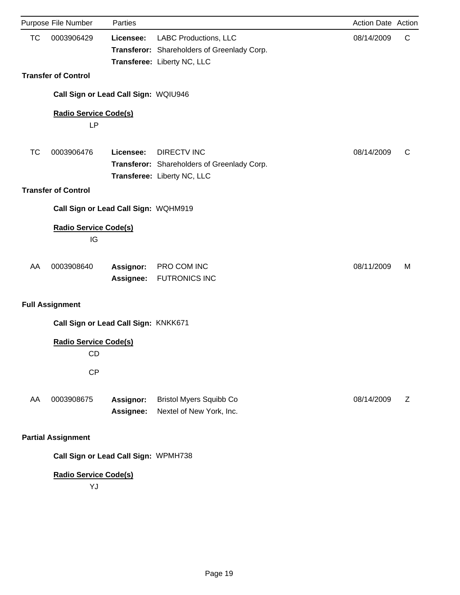|           | Purpose File Number                  | Parties                |                                                                                                            | Action Date Action |   |
|-----------|--------------------------------------|------------------------|------------------------------------------------------------------------------------------------------------|--------------------|---|
| <b>TC</b> | 0003906429                           | Licensee:              | <b>LABC Productions, LLC</b><br>Transferor: Shareholders of Greenlady Corp.<br>Transferee: Liberty NC, LLC | 08/14/2009         | C |
|           | <b>Transfer of Control</b>           |                        |                                                                                                            |                    |   |
|           | Call Sign or Lead Call Sign: WQIU946 |                        |                                                                                                            |                    |   |
|           | <b>Radio Service Code(s)</b>         |                        |                                                                                                            |                    |   |
|           | <b>LP</b>                            |                        |                                                                                                            |                    |   |
| <b>TC</b> | 0003906476                           | Licensee:              | <b>DIRECTV INC</b><br>Transferor: Shareholders of Greenlady Corp.<br>Transferee: Liberty NC, LLC           | 08/14/2009         | C |
|           | <b>Transfer of Control</b>           |                        |                                                                                                            |                    |   |
|           | Call Sign or Lead Call Sign: WQHM919 |                        |                                                                                                            |                    |   |
|           | <b>Radio Service Code(s)</b><br>IG   |                        |                                                                                                            |                    |   |
| AA        | 0003908640                           | Assignor:<br>Assignee: | PRO COM INC<br><b>FUTRONICS INC</b>                                                                        | 08/11/2009         | M |
|           | <b>Full Assignment</b>               |                        |                                                                                                            |                    |   |
|           | Call Sign or Lead Call Sign: KNKK671 |                        |                                                                                                            |                    |   |
|           | <b>Radio Service Code(s)</b><br>CD   |                        |                                                                                                            |                    |   |
|           | CP                                   |                        |                                                                                                            |                    |   |
| AA        | 0003908675                           | Assignor:<br>Assignee: | <b>Bristol Myers Squibb Co</b><br>Nextel of New York, Inc.                                                 | 08/14/2009         | Z |
|           | <b>Partial Assignment</b>            |                        |                                                                                                            |                    |   |
|           | Call Sign or Lead Call Sign: WPMH738 |                        |                                                                                                            |                    |   |
|           | <b>Radio Service Code(s)</b><br>YJ   |                        |                                                                                                            |                    |   |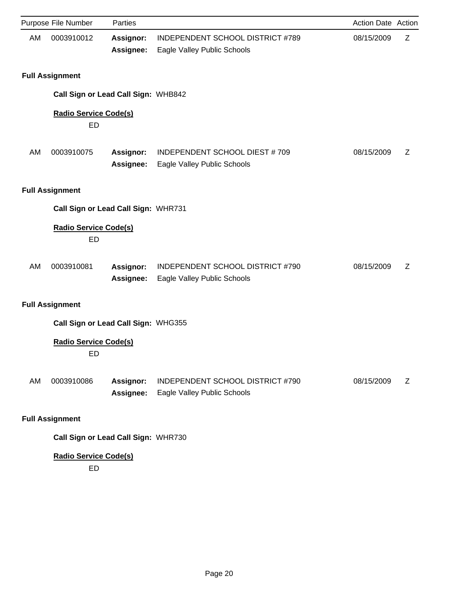|           | Purpose File Number                       | Parties                       |                                                                 | Action Date Action |   |
|-----------|-------------------------------------------|-------------------------------|-----------------------------------------------------------------|--------------------|---|
| <b>AM</b> | 0003910012                                | <b>Assignor:</b><br>Assignee: | INDEPENDENT SCHOOL DISTRICT #789<br>Eagle Valley Public Schools | 08/15/2009         | Z |
|           | <b>Full Assignment</b>                    |                               |                                                                 |                    |   |
|           | Call Sign or Lead Call Sign: WHB842       |                               |                                                                 |                    |   |
|           | <b>Radio Service Code(s)</b><br><b>ED</b> |                               |                                                                 |                    |   |
| <b>AM</b> | 0003910075                                | <b>Assignor:</b><br>Assignee: | INDEPENDENT SCHOOL DIEST #709<br>Eagle Valley Public Schools    | 08/15/2009         | Ζ |
|           | <b>Full Assignment</b>                    |                               |                                                                 |                    |   |
|           | Call Sign or Lead Call Sign: WHR731       |                               |                                                                 |                    |   |
|           | <b>Radio Service Code(s)</b><br><b>ED</b> |                               |                                                                 |                    |   |
| AM        | 0003910081                                | <b>Assignor:</b><br>Assignee: | INDEPENDENT SCHOOL DISTRICT #790<br>Eagle Valley Public Schools | 08/15/2009         | Ζ |
|           | <b>Full Assignment</b>                    |                               |                                                                 |                    |   |
|           | Call Sign or Lead Call Sign: WHG355       |                               |                                                                 |                    |   |
|           | <b>Radio Service Code(s)</b><br>ED        |                               |                                                                 |                    |   |
| AM        | 0003910086                                | <b>Assignor:</b><br>Assignee: | INDEPENDENT SCHOOL DISTRICT #790<br>Eagle Valley Public Schools | 08/15/2009         | Z |
|           | <b>Full Assignment</b>                    |                               |                                                                 |                    |   |
|           | Call Sign or Lead Call Sign: WHR730       |                               |                                                                 |                    |   |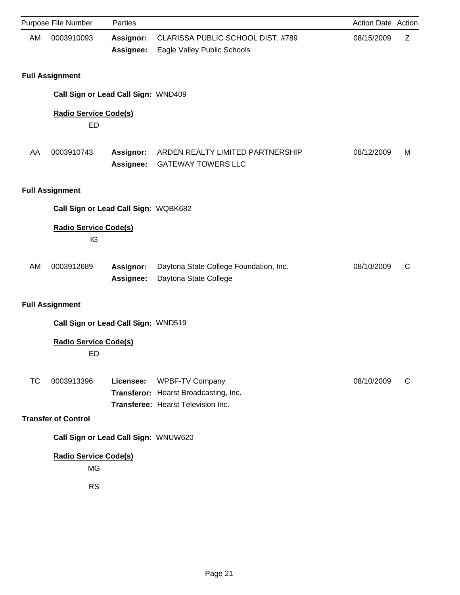|    | Purpose File Number                                    | Parties                |                                                                                                | <b>Action Date Action</b> |   |
|----|--------------------------------------------------------|------------------------|------------------------------------------------------------------------------------------------|---------------------------|---|
| AM | 0003910093                                             | Assignor:<br>Assignee: | CLARISSA PUBLIC SCHOOL DIST. #789<br>Eagle Valley Public Schools                               | 08/15/2009                | Ζ |
|    | <b>Full Assignment</b>                                 |                        |                                                                                                |                           |   |
|    | Call Sign or Lead Call Sign: WND409                    |                        |                                                                                                |                           |   |
|    | <b>Radio Service Code(s)</b><br>ED                     |                        |                                                                                                |                           |   |
| AA | 0003910743                                             | Assignor:<br>Assignee: | ARDEN REALTY LIMITED PARTNERSHIP<br><b>GATEWAY TOWERS LLC</b>                                  | 08/12/2009                | M |
|    | <b>Full Assignment</b>                                 |                        |                                                                                                |                           |   |
|    | Call Sign or Lead Call Sign: WQBK682                   |                        |                                                                                                |                           |   |
|    | <b>Radio Service Code(s)</b><br>IG                     |                        |                                                                                                |                           |   |
| AM | 0003912689                                             | Assignor:<br>Assignee: | Daytona State College Foundation, Inc.<br>Daytona State College                                | 08/10/2009                | C |
|    | <b>Full Assignment</b>                                 |                        |                                                                                                |                           |   |
|    | Call Sign or Lead Call Sign: WND519                    |                        |                                                                                                |                           |   |
|    | <b>Radio Service Code(s)</b><br>ED                     |                        |                                                                                                |                           |   |
| ТC | 0003913396                                             | Licensee:              | WPBF-TV Company<br>Transferor: Hearst Broadcasting, Inc.<br>Transferee: Hearst Television Inc. | 08/10/2009                | C |
|    | <b>Transfer of Control</b>                             |                        |                                                                                                |                           |   |
|    | Call Sign or Lead Call Sign: WNUW620                   |                        |                                                                                                |                           |   |
|    | <b>Radio Service Code(s)</b><br><b>MG</b><br><b>RS</b> |                        |                                                                                                |                           |   |
|    |                                                        |                        |                                                                                                |                           |   |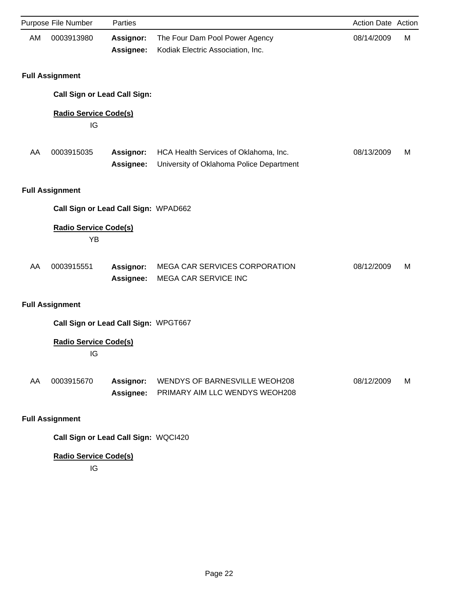|           | Purpose File Number                  | Parties                       |                                                                                   | Action Date Action |   |
|-----------|--------------------------------------|-------------------------------|-----------------------------------------------------------------------------------|--------------------|---|
| <b>AM</b> | 0003913980                           | Assignor:<br>Assignee:        | The Four Dam Pool Power Agency<br>Kodiak Electric Association, Inc.               | 08/14/2009         | M |
|           | <b>Full Assignment</b>               |                               |                                                                                   |                    |   |
|           | <b>Call Sign or Lead Call Sign:</b>  |                               |                                                                                   |                    |   |
|           | <b>Radio Service Code(s)</b><br>IG   |                               |                                                                                   |                    |   |
| AA        | 0003915035                           | <b>Assignor:</b><br>Assignee: | HCA Health Services of Oklahoma, Inc.<br>University of Oklahoma Police Department | 08/13/2009         | M |
|           | <b>Full Assignment</b>               |                               |                                                                                   |                    |   |
|           | Call Sign or Lead Call Sign: WPAD662 |                               |                                                                                   |                    |   |
|           | <b>Radio Service Code(s)</b><br>YB   |                               |                                                                                   |                    |   |
| AA        | 0003915551                           | Assignor:<br>Assignee:        | MEGA CAR SERVICES CORPORATION<br>MEGA CAR SERVICE INC                             | 08/12/2009         | M |
|           | <b>Full Assignment</b>               |                               |                                                                                   |                    |   |
|           | Call Sign or Lead Call Sign: WPGT667 |                               |                                                                                   |                    |   |
|           | <b>Radio Service Code(s)</b><br>IG   |                               |                                                                                   |                    |   |
| AA        | 0003915670                           | <b>Assignor:</b><br>Assignee: | <b>WENDYS OF BARNESVILLE WEOH208</b><br>PRIMARY AIM LLC WENDYS WEOH208            | 08/12/2009         | M |
|           | <b>Full Assignment</b>               |                               |                                                                                   |                    |   |
|           | Call Sign or Lead Call Sign: WQCI420 |                               |                                                                                   |                    |   |

IG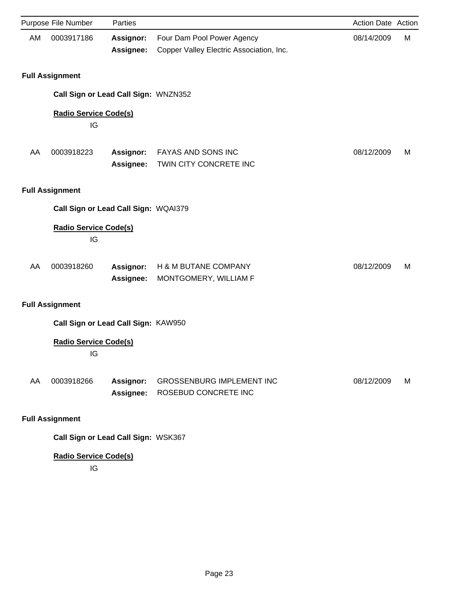|    | Purpose File Number                  | Parties                       |                                                                        | Action Date Action |   |
|----|--------------------------------------|-------------------------------|------------------------------------------------------------------------|--------------------|---|
| AM | 0003917186                           | <b>Assignor:</b><br>Assignee: | Four Dam Pool Power Agency<br>Copper Valley Electric Association, Inc. | 08/14/2009         | М |
|    | <b>Full Assignment</b>               |                               |                                                                        |                    |   |
|    | Call Sign or Lead Call Sign: WNZN352 |                               |                                                                        |                    |   |
|    | <b>Radio Service Code(s)</b><br>IG   |                               |                                                                        |                    |   |
| AA | 0003918223                           | Assignor:<br>Assignee:        | FAYAS AND SONS INC<br>TWIN CITY CONCRETE INC                           | 08/12/2009         | M |
|    | <b>Full Assignment</b>               |                               |                                                                        |                    |   |
|    | Call Sign or Lead Call Sign: WQAI379 |                               |                                                                        |                    |   |
|    | <b>Radio Service Code(s)</b><br>IG   |                               |                                                                        |                    |   |
| AA | 0003918260                           | Assignor:<br>Assignee:        | H & M BUTANE COMPANY<br>MONTGOMERY, WILLIAM F                          | 08/12/2009         | M |
|    | <b>Full Assignment</b>               |                               |                                                                        |                    |   |
|    | Call Sign or Lead Call Sign: KAW950  |                               |                                                                        |                    |   |
|    | <b>Radio Service Code(s)</b><br>IG   |                               |                                                                        |                    |   |
| AA | 0003918266                           | Assignor:<br>Assignee:        | <b>GROSSENBURG IMPLEMENT INC</b><br>ROSEBUD CONCRETE INC               | 08/12/2009         | M |
|    | <b>Full Assignment</b>               |                               |                                                                        |                    |   |

**Call Sign or Lead Call Sign:** WSK367

# **Radio Service Code(s)**

IG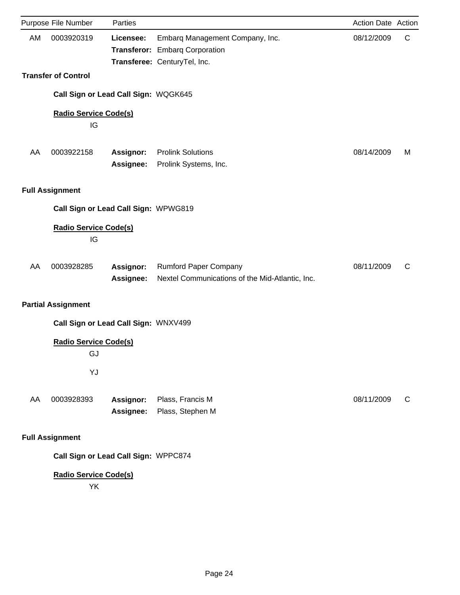|    | Purpose File Number                  | Parties                       |                                                                                                   | Action Date Action |   |
|----|--------------------------------------|-------------------------------|---------------------------------------------------------------------------------------------------|--------------------|---|
| AM | 0003920319                           | Licensee:                     | Embarq Management Company, Inc.<br>Transferor: Embarq Corporation<br>Transferee: CenturyTel, Inc. | 08/12/2009         | C |
|    | <b>Transfer of Control</b>           |                               |                                                                                                   |                    |   |
|    | Call Sign or Lead Call Sign: WQGK645 |                               |                                                                                                   |                    |   |
|    | <b>Radio Service Code(s)</b><br>IG   |                               |                                                                                                   |                    |   |
| AA | 0003922158                           | <b>Assignor:</b><br>Assignee: | <b>Prolink Solutions</b><br>Prolink Systems, Inc.                                                 | 08/14/2009         | M |
|    | <b>Full Assignment</b>               |                               |                                                                                                   |                    |   |
|    | Call Sign or Lead Call Sign: WPWG819 |                               |                                                                                                   |                    |   |
|    | <b>Radio Service Code(s)</b><br>IG   |                               |                                                                                                   |                    |   |
| AA | 0003928285                           | <b>Assignor:</b><br>Assignee: | <b>Rumford Paper Company</b><br>Nextel Communications of the Mid-Atlantic, Inc.                   | 08/11/2009         | C |
|    | <b>Partial Assignment</b>            |                               |                                                                                                   |                    |   |
|    | Call Sign or Lead Call Sign: WNXV499 |                               |                                                                                                   |                    |   |
|    | <b>Radio Service Code(s)</b><br>GJ   |                               |                                                                                                   |                    |   |
|    | YJ                                   |                               |                                                                                                   |                    |   |
| AA | 0003928393                           | <b>Assignor:</b><br>Assignee: | Plass, Francis M<br>Plass, Stephen M                                                              | 08/11/2009         | C |
|    | <b>Full Assignment</b>               |                               |                                                                                                   |                    |   |
|    | Call Sign or Lead Call Sign: WPPC874 |                               |                                                                                                   |                    |   |
|    | <b>Radio Service Code(s)</b><br>YK   |                               |                                                                                                   |                    |   |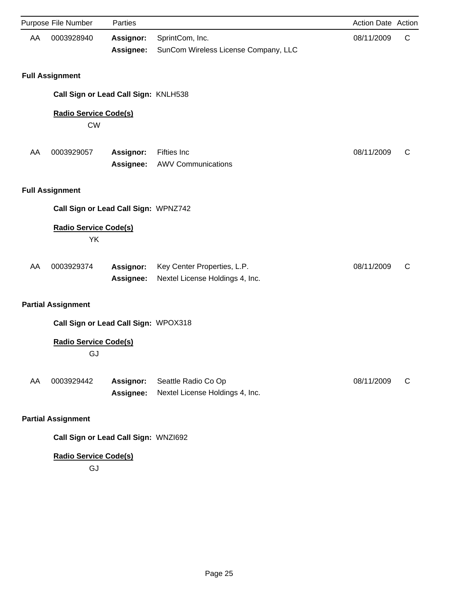|    | Purpose File Number                       | Parties                              |                                                                | Action Date Action |   |
|----|-------------------------------------------|--------------------------------------|----------------------------------------------------------------|--------------------|---|
| AA | 0003928940                                | Assignor:<br>Assignee:               | SprintCom, Inc.<br>SunCom Wireless License Company, LLC        | 08/11/2009         | C |
|    | <b>Full Assignment</b>                    |                                      |                                                                |                    |   |
|    |                                           | Call Sign or Lead Call Sign: KNLH538 |                                                                |                    |   |
|    | <b>Radio Service Code(s)</b><br><b>CW</b> |                                      |                                                                |                    |   |
| AA | 0003929057                                | Assignor:<br>Assignee:               | <b>Fifties Inc</b><br><b>AWV Communications</b>                | 08/11/2009         | C |
|    | <b>Full Assignment</b>                    |                                      |                                                                |                    |   |
|    |                                           | Call Sign or Lead Call Sign: WPNZ742 |                                                                |                    |   |
|    | <b>Radio Service Code(s)</b><br>YK        |                                      |                                                                |                    |   |
| AA | 0003929374                                | Assignor:<br>Assignee:               | Key Center Properties, L.P.<br>Nextel License Holdings 4, Inc. | 08/11/2009         | C |
|    | <b>Partial Assignment</b>                 |                                      |                                                                |                    |   |
|    |                                           | Call Sign or Lead Call Sign: WPOX318 |                                                                |                    |   |
|    | <b>Radio Service Code(s)</b><br>GJ        |                                      |                                                                |                    |   |
| AA | 0003929442                                | Assignor:<br>Assignee:               | Seattle Radio Co Op<br>Nextel License Holdings 4, Inc.         | 08/11/2009         | C |
|    | <b>Partial Assignment</b>                 |                                      |                                                                |                    |   |
|    |                                           | Call Sign or Lead Call Sign: WNZI692 |                                                                |                    |   |

GJ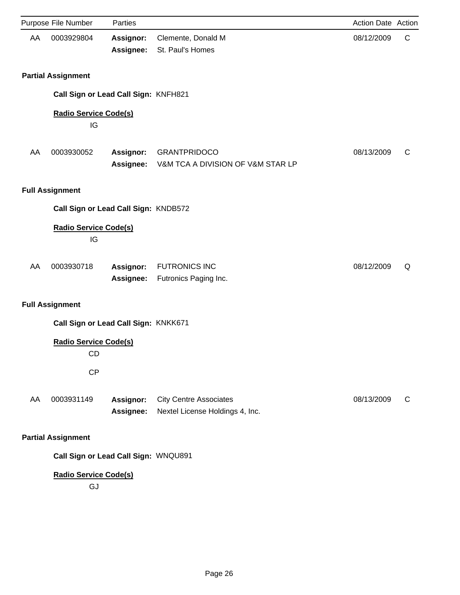|    | Purpose File Number                  | Parties                       |                                                                  | Action Date Action |   |
|----|--------------------------------------|-------------------------------|------------------------------------------------------------------|--------------------|---|
| AA | 0003929804                           | <b>Assignor:</b><br>Assignee: | Clemente, Donald M<br>St. Paul's Homes                           | 08/12/2009         | C |
|    | <b>Partial Assignment</b>            |                               |                                                                  |                    |   |
|    | Call Sign or Lead Call Sign: KNFH821 |                               |                                                                  |                    |   |
|    | <b>Radio Service Code(s)</b><br>IG   |                               |                                                                  |                    |   |
| AA | 0003930052                           | Assignor:<br>Assignee:        | <b>GRANTPRIDOCO</b><br>V&M TCA A DIVISION OF V&M STAR LP         | 08/13/2009         | C |
|    | <b>Full Assignment</b>               |                               |                                                                  |                    |   |
|    | Call Sign or Lead Call Sign: KNDB572 |                               |                                                                  |                    |   |
|    | <b>Radio Service Code(s)</b><br>IG   |                               |                                                                  |                    |   |
| AA | 0003930718                           | Assignor:<br>Assignee:        | <b>FUTRONICS INC</b><br>Futronics Paging Inc.                    | 08/12/2009         | Q |
|    | <b>Full Assignment</b>               |                               |                                                                  |                    |   |
|    | Call Sign or Lead Call Sign: KNKK671 |                               |                                                                  |                    |   |
|    | <b>Radio Service Code(s)</b><br>CD   |                               |                                                                  |                    |   |
|    | CP                                   |                               |                                                                  |                    |   |
| AA | 0003931149                           | Assignor:<br>Assignee:        | <b>City Centre Associates</b><br>Nextel License Holdings 4, Inc. | 08/13/2009         | C |
|    | <b>Partial Assignment</b>            |                               |                                                                  |                    |   |
|    | Call Sign or Lead Call Sign: WNQU891 |                               |                                                                  |                    |   |
|    | <b>Radio Service Code(s)</b><br>GJ   |                               |                                                                  |                    |   |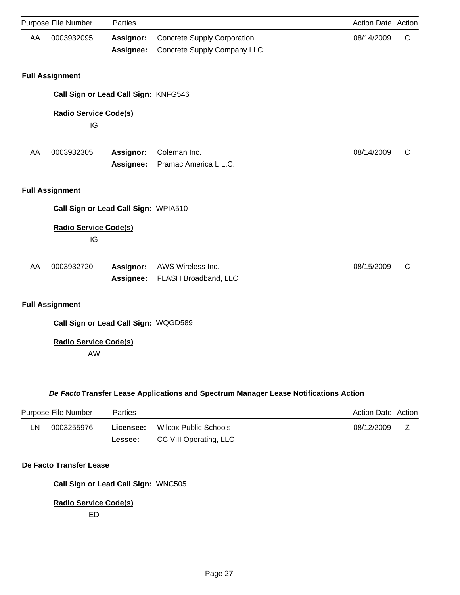|    | Purpose File Number                       | Parties          |                                    | Action Date Action |   |
|----|-------------------------------------------|------------------|------------------------------------|--------------------|---|
| AA | 0003932095                                | Assignor:        | <b>Concrete Supply Corporation</b> | 08/14/2009         | C |
|    |                                           | Assignee:        | Concrete Supply Company LLC.       |                    |   |
|    | <b>Full Assignment</b>                    |                  |                                    |                    |   |
|    | Call Sign or Lead Call Sign: KNFG546      |                  |                                    |                    |   |
|    | <b>Radio Service Code(s)</b><br>IG        |                  |                                    |                    |   |
| AA | 0003932305                                | Assignor:        | Coleman Inc.                       | 08/14/2009         | C |
|    |                                           | Assignee:        | Pramac America L.L.C.              |                    |   |
|    | <b>Full Assignment</b>                    |                  |                                    |                    |   |
|    | Call Sign or Lead Call Sign: WPIA510      |                  |                                    |                    |   |
|    | <b>Radio Service Code(s)</b><br>IG        |                  |                                    |                    |   |
| AA | 0003932720                                | <b>Assignor:</b> | AWS Wireless Inc.                  | 08/15/2009         | C |
|    |                                           | Assignee:        | FLASH Broadband, LLC               |                    |   |
|    | <b>Full Assignment</b>                    |                  |                                    |                    |   |
|    | Call Sign or Lead Call Sign: WQGD589      |                  |                                    |                    |   |
|    | <b>Radio Service Code(s)</b><br><b>AW</b> |                  |                                    |                    |   |

## *De Facto***Transfer Lease Applications and Spectrum Manager Lease Notifications Action**

| Purpose File Number |            | Parties   |                        | Action Date Action |  |
|---------------------|------------|-----------|------------------------|--------------------|--|
| LN                  | 0003255976 | Licensee: | Wilcox Public Schools  | 08/12/2009         |  |
|                     |            | Lessee:   | CC VIII Operating, LLC |                    |  |

## **De Facto Transfer Lease**

**Call Sign or Lead Call Sign:** WNC505

## **Radio Service Code(s)**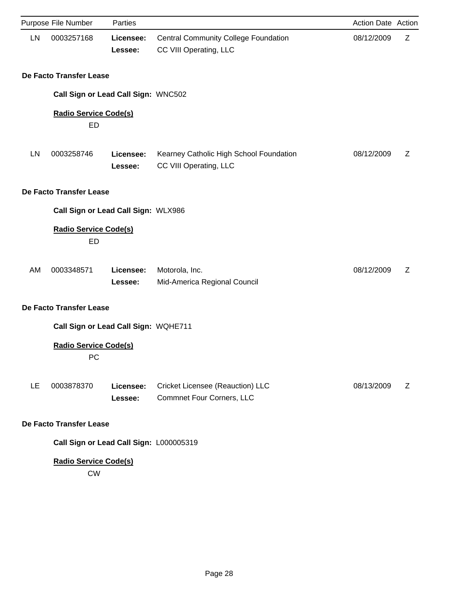|    | Purpose File Number                       | Parties              |                                                                       | Action Date Action |   |
|----|-------------------------------------------|----------------------|-----------------------------------------------------------------------|--------------------|---|
| LN | 0003257168                                | Licensee:<br>Lessee: | <b>Central Community College Foundation</b><br>CC VIII Operating, LLC | 08/12/2009         | Z |
|    | De Facto Transfer Lease                   |                      |                                                                       |                    |   |
|    | Call Sign or Lead Call Sign: WNC502       |                      |                                                                       |                    |   |
|    | <b>Radio Service Code(s)</b><br>ED        |                      |                                                                       |                    |   |
| LN | 0003258746                                | Licensee:<br>Lessee: | Kearney Catholic High School Foundation<br>CC VIII Operating, LLC     | 08/12/2009         | Ζ |
|    | De Facto Transfer Lease                   |                      |                                                                       |                    |   |
|    | Call Sign or Lead Call Sign: WLX986       |                      |                                                                       |                    |   |
|    | <b>Radio Service Code(s)</b><br>ED        |                      |                                                                       |                    |   |
| AM | 0003348571                                | Licensee:<br>Lessee: | Motorola, Inc.<br>Mid-America Regional Council                        | 08/12/2009         | Z |
|    | De Facto Transfer Lease                   |                      |                                                                       |                    |   |
|    | Call Sign or Lead Call Sign: WQHE711      |                      |                                                                       |                    |   |
|    | <b>Radio Service Code(s)</b><br>PC        |                      |                                                                       |                    |   |
| LE | 0003878370                                | Licensee:<br>Lessee: | Cricket Licensee (Reauction) LLC<br><b>Commnet Four Corners, LLC</b>  | 08/13/2009         | Z |
|    | De Facto Transfer Lease                   |                      |                                                                       |                    |   |
|    | Call Sign or Lead Call Sign: L000005319   |                      |                                                                       |                    |   |
|    | <b>Radio Service Code(s)</b><br><b>CW</b> |                      |                                                                       |                    |   |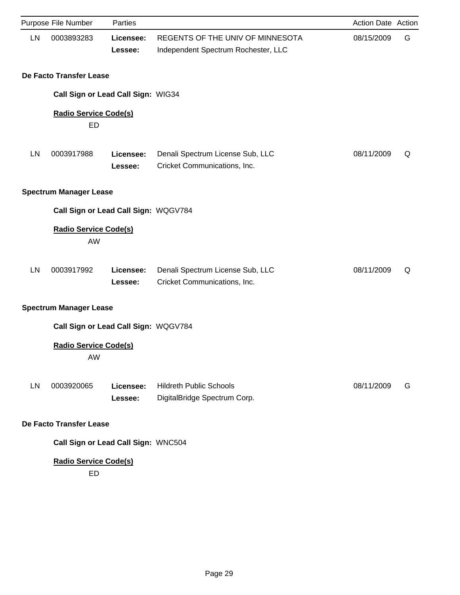|    | Purpose File Number                       | Parties              |                                                                         | Action Date Action |   |
|----|-------------------------------------------|----------------------|-------------------------------------------------------------------------|--------------------|---|
| LN | 0003893283                                | Licensee:<br>Lessee: | REGENTS OF THE UNIV OF MINNESOTA<br>Independent Spectrum Rochester, LLC | 08/15/2009         | G |
|    | De Facto Transfer Lease                   |                      |                                                                         |                    |   |
|    | Call Sign or Lead Call Sign: WIG34        |                      |                                                                         |                    |   |
|    | <b>Radio Service Code(s)</b><br><b>ED</b> |                      |                                                                         |                    |   |
| LN | 0003917988                                | Licensee:<br>Lessee: | Denali Spectrum License Sub, LLC<br>Cricket Communications, Inc.        | 08/11/2009         | Q |
|    | <b>Spectrum Manager Lease</b>             |                      |                                                                         |                    |   |
|    | Call Sign or Lead Call Sign: WQGV784      |                      |                                                                         |                    |   |
|    | <b>Radio Service Code(s)</b><br>AW        |                      |                                                                         |                    |   |
| LN | 0003917992                                | Licensee:<br>Lessee: | Denali Spectrum License Sub, LLC<br>Cricket Communications, Inc.        | 08/11/2009         | Q |
|    | <b>Spectrum Manager Lease</b>             |                      |                                                                         |                    |   |
|    | Call Sign or Lead Call Sign: WQGV784      |                      |                                                                         |                    |   |
|    | <b>Radio Service Code(s)</b><br>AW        |                      |                                                                         |                    |   |
| LN | 0003920065                                | Licensee:<br>Lessee: | <b>Hildreth Public Schools</b><br>DigitalBridge Spectrum Corp.          | 08/11/2009         | G |
|    | De Facto Transfer Lease                   |                      |                                                                         |                    |   |
|    | Call Sign or Lead Call Sign: WNC504       |                      |                                                                         |                    |   |
|    | <b>Radio Service Code(s)</b><br><b>ED</b> |                      |                                                                         |                    |   |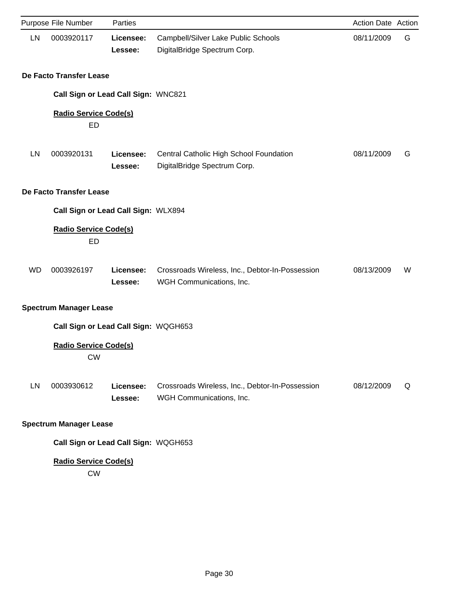|           | Purpose File Number                       | Parties              |                                                                             | Action Date Action |   |
|-----------|-------------------------------------------|----------------------|-----------------------------------------------------------------------------|--------------------|---|
| LN        | 0003920117                                | Licensee:<br>Lessee: | Campbell/Silver Lake Public Schools<br>DigitalBridge Spectrum Corp.         | 08/11/2009         | G |
|           | De Facto Transfer Lease                   |                      |                                                                             |                    |   |
|           | Call Sign or Lead Call Sign: WNC821       |                      |                                                                             |                    |   |
|           | <b>Radio Service Code(s)</b><br>ED        |                      |                                                                             |                    |   |
| LN        | 0003920131                                | Licensee:<br>Lessee: | Central Catholic High School Foundation<br>DigitalBridge Spectrum Corp.     | 08/11/2009         | G |
|           | De Facto Transfer Lease                   |                      |                                                                             |                    |   |
|           | Call Sign or Lead Call Sign: WLX894       |                      |                                                                             |                    |   |
|           | <b>Radio Service Code(s)</b><br>ED        |                      |                                                                             |                    |   |
| <b>WD</b> | 0003926197                                | Licensee:<br>Lessee: | Crossroads Wireless, Inc., Debtor-In-Possession<br>WGH Communications, Inc. | 08/13/2009         | W |
|           | <b>Spectrum Manager Lease</b>             |                      |                                                                             |                    |   |
|           | Call Sign or Lead Call Sign: WQGH653      |                      |                                                                             |                    |   |
|           | <b>Radio Service Code(s)</b><br><b>CW</b> |                      |                                                                             |                    |   |
| <b>LN</b> | 0003930612                                | Licensee:<br>Lessee: | Crossroads Wireless, Inc., Debtor-In-Possession<br>WGH Communications, Inc. | 08/12/2009         | Q |
|           | <b>Spectrum Manager Lease</b>             |                      |                                                                             |                    |   |
|           | Call Sign or Lead Call Sign: WQGH653      |                      |                                                                             |                    |   |
|           | <b>Radio Service Code(s)</b>              |                      |                                                                             |                    |   |

CW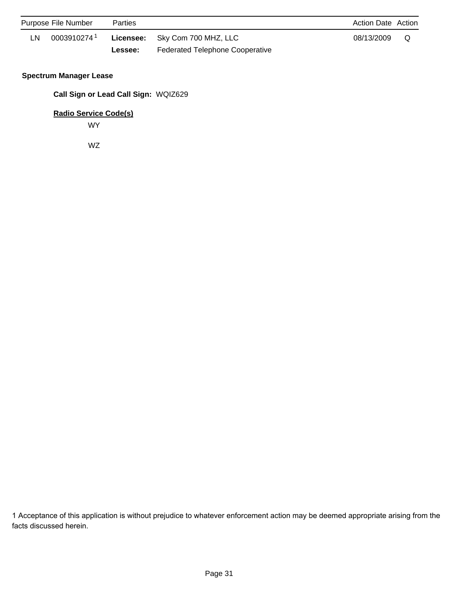|    | Purpose File Number     | Parties |                                        | <b>Action Date Action</b> |     |
|----|-------------------------|---------|----------------------------------------|---------------------------|-----|
| LN | 0003910274 <sup>1</sup> |         | Licensee: Sky Com 700 MHZ, LLC         | 08/13/2009                | . റ |
|    |                         | Lessee: | <b>Federated Telephone Cooperative</b> |                           |     |

### **Spectrum Manager Lease**

**Call Sign or Lead Call Sign:** WQIZ629

**Radio Service Code(s)**

WY

WZ

1 Acceptance of this application is without prejudice to whatever enforcement action may be deemed appropriate arising from the facts discussed herein.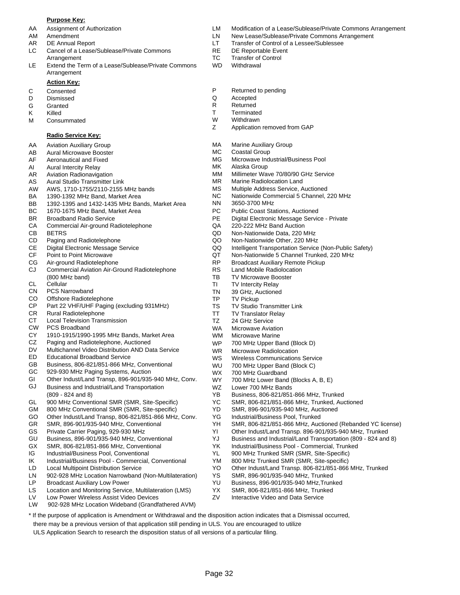#### **Purpose Key:**

- 
- 
- 
- LC Cancel of a Lease/Sublease/Private Commons RE DE Reportable Event Arrangement TC Transfer of Control
- LE Extend the Term of a Lease/Sublease/Private Commons WD Withdrawal Arrangement

#### **Action Key:**

- 
- 
- 
- 
- M Consummated M W Withdrawn<br>
Z Application

#### **Radio Service Key:**

- AA Aviation Auxiliary Group
- AB Aural Microwave Booster
- AF Aeronautical and Fixed
- AI Aural Intercity Relay
- AR Aviation Radionavigation
- AS Aural Studio Transmitter Link
- AW AWS, 1710-1755/2110-2155 MHz bands
- BA 1390-1392 MHz Band, Market Area
- BB 1392-1395 and 1432-1435 MHz Bands, Market Area
- BC 1670-1675 MHz Band, Market Area
- BR Broadband Radio Service
- CA Commercial Air-ground Radiotelephone
- CB BETRS
- CD Paging and Radiotelephone
- CE Digital Electronic Message Service
- CF Point to Point Microwave
- CG Air-ground Radiotelephone
- CJ Commercial Aviation Air-Ground Radiotelephone (800 MHz band)
- CL **Cellular**
- CN PCS Narrowband
- CO Offshore Radiotelephone
- CP Part 22 VHF/UHF Paging (excluding 931MHz)
- CR Rural Radiotelephone
- CT Local Television Transmission
- CW PCS Broadband
- CY 1910-1915/1990-1995 MHz Bands, Market Area
- CZ Paging and Radiotelephone, Auctioned
- DV Multichannel Video Distribution AND Data Service
- ED Educational Broadband Service
- GB Business, 806-821/851-866 MHz, Conventional
- GC 929-930 MHz Paging Systems, Auction
- GI Other Indust/Land Transp, 896-901/935-940 MHz, Conv.
- GJ Business and Industrial/Land Transportation (809 - 824 and 8)
- GL 900 MHz Conventional SMR (SMR, Site-Specific)
- GM 800 MHz Conventional SMR (SMR, Site-specific)
- GO Other Indust/Land Transp, 806-821/851-866 MHz, Conv.
- GR SMR, 896-901/935-940 MHz, Conventional
- GS Private Carrier Paging, 929-930 MHz
- GU Business, 896-901/935-940 MHz, Conventional
- GX SMR, 806-821/851-866 MHz, Conventional
- IG Industrial/Business Pool, Conventional
- IK Industrial/Business Pool Commercial, Conventional
- LD Local Multipoint Distribution Service
- LN 902-928 MHz Location Narrowband (Non-Multilateration)
- LP Broadcast Auxiliary Low Power
- Location and Monitoring Service, Multilateration (LMS) LS
- Low Power Wireless Assist Video Devices LV
- LW 902-928 MHz Location Wideband (Grandfathered AVM)
- AA Assignment of Authorization LM Modification of a Lease/Sublease/Private Commons Arrangement
- AM Amendment LN New Lease/Sublease/Private Commons Arrangement
- AR DE Annual Report **LT** Transfer of Control of a Lessee/Sublessee
	-
	-
	-
- C Consented **C** Consented **P** Returned to pending **D** Dismissed **P** Returned to pending
- D Dismissed Q Accepted
- G Granted **R** Returned
- K Killed T Terminated
	-
	- Application removed from GAP
	- MA Marine Auxiliary Group
	- MC Coastal Group
	- MG Microwave Industrial/Business Pool
	- MK Alaska Group
	- MM Millimeter Wave 70/80/90 GHz Service
	- MR Marine Radiolocation Land
	- MS Multiple Address Service, Auctioned
	- NC Nationwide Commercial 5 Channel, 220 MHz
		- NN 3650-3700 MHz
		- PC Public Coast Stations, Auctioned
		- PE Digital Electronic Message Service Private
		- QA 220-222 MHz Band Auction
		- QD Non-Nationwide Data, 220 MHz
		- QO Non-Nationwide Other, 220 MHz
		- QQ Intelligent Transportation Service (Non-Public Safety)
		- QT Non-Nationwide 5 Channel Trunked, 220 MHz
		- RP Broadcast Auxiliary Remote Pickup

700 MHz Upper Band (Block D)

Wireless Communications Service 700 MHz Upper Band (Block C)

YB Business, 806-821/851-866 MHz, Trunked YC SMR, 806-821/851-866 MHz, Trunked, Auctioned SMR, 896-901/935-940 MHz, Auctioned

700 MHz Lower Band (Blocks A, B, E)

YK Industrial/Business Pool - Commercial, Trunked YL 900 MHz Trunked SMR (SMR, Site-Specific) YM 800 MHz Trunked SMR (SMR, Site-specific)

YH SMR, 806-821/851-866 MHz, Auctioned (Rebanded YC license) YI Other Indust/Land Transp. 896-901/935-940 MHz, Trunked YJ Business and Industrial/Land Transportation (809 - 824 and 8)

YO Other Indust/Land Transp. 806-821/851-866 MHz, Trunked

- RS Land Mobile Radiolocation
- TB TV Microwave Booster
- TI TV Intercity Relay
- TN 39 GHz, Auctioned
- TP TV Pickup

WP

WS WU

YD

Page 32

\* If the purpose of application is Amendment or Withdrawal and the disposition action indicates that a Dismissal occurred,

there may be a previous version of that application still pending in ULS. You are encouraged to utilize ULS Application Search to research the disposition status of all versions of a particular filing.

WZ WX WY

TS TV Studio Transmitter Link

WR Microwave Radiolocation

Lower 700 MHz Bands

700 MHz Guardband

YG Industrial/Business Pool, Trunked

YS SMR, 896-901/935-940 MHz, Trunked YU Business, 896-901/935-940 MHz,Trunked YX SMR, 806-821/851-866 MHz, Trunked ZV Interactive Video and Data Service

- TT TV Translator Relay
- TZ 24 GHz Service
- WA Microwave Aviation
- WM Microwave Marine